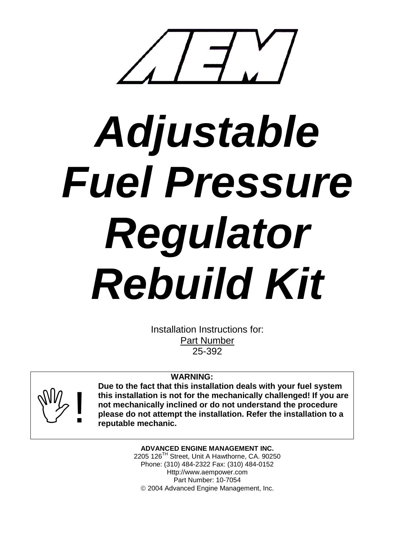

# *Adjustable Fuel Pressure Regulator Rebuild Kit*

Installation Instructions for: Part Number 25-392

## **WARNING:**



**Due to the fact that this installation deals with your fuel system this installation is not for the mechanically challenged! If you are not mechanically inclined or do not understand the procedure please do not attempt the installation. Refer the installation to a reputable mechanic.**

> **ADVANCED ENGINE MANAGEMENT INC.** 2205 126<sup>TH</sup> Street, Unit A Hawthorne, CA. 90250 Phone: (310) 484-2322 Fax: (310) 484-0152 Http://www.aempower.com Part Number: 10-7054 2004 Advanced Engine Management, Inc.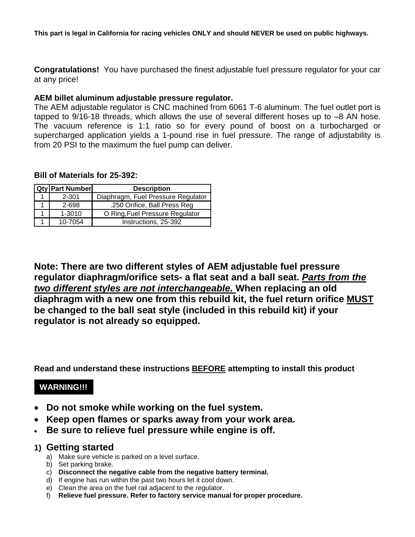**This part is legal in California for racing vehicles ONLY and should NEVER be used on public highways.**

**Congratulations!** You have purchased the finest adjustable fuel pressure regulator for your car at any price!

### **AEM billet aluminum adjustable pressure regulator.**

The AEM adjustable regulator is CNC machined from 6061 T-6 aluminum. The fuel outlet port is tapped to 9/16-18 threads, which allows the use of several different hoses up to -8 AN hose. The vacuum reference is 1:1 ratio so for every pound of boost on a turbocharged or supercharged application yields a 1-pound rise in fuel pressure. The range of adjustability is from 20 PSI to the maximum the fuel pump can deliver.

### **Bill of Materials for 25-392:**

| <b>Qty Part Number</b> | <b>Description</b>                 |
|------------------------|------------------------------------|
| $2 - 301$              | Diaphragm, Fuel Pressure Regulator |
| 2-698                  | .250 Orifice, Ball Press Reg       |
| $1 - 3010$             | O Ring, Fuel Pressure Regulator    |
| 10-7054                | Instructions, 25-392               |

**Note: There are two different styles of AEM adjustable fuel pressure regulator diaphragm/orifice sets- a flat seat and a ball seat.** *Parts from the two different styles are not interchangeable.* **When replacing an old diaphragm with a new one from this rebuild kit, the fuel return orifice MUST be changed to the ball seat style (included in this rebuild kit) if your regulator is not already so equipped.**

**Read and understand these instructions BEFORE attempting to install this product**

## **WARNING!!!**

- **Do not smoke while working on the fuel system.**
- **Keep open flames or sparks away from your work area.**
- **Be sure to relieve fuel pressure while engine is off.**

## **1) Getting started**

- a) Make sure vehicle is parked on a level surface.
- b) Set parking brake.
- c) **Disconnect the negative cable from the negative battery terminal.**
- d) If engine has run within the past two hours let it cool down.
- e) Clean the area on the fuel rail adjacent to the regulator.
- f) **Relieve fuel pressure. Refer to factory service manual for proper procedure.**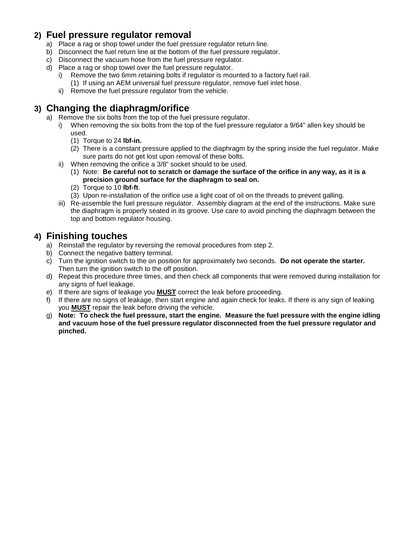# **2) Fuel pressure regulator removal**

- a) Place a rag or shop towel under the fuel pressure regulator return line.
- b) Disconnect the fuel return line at the bottom of the fuel pressure regulator.
- c) Disconnect the vacuum hose from the fuel pressure regulator.
- d) Place a rag or shop towel over the fuel pressure regulator.
	- i) Remove the two 6mm retaining bolts if regulator is mounted to a factory fuel rail.
		- (1) If using an AEM universal fuel pressure regulator, remove fuel inlet hose.
	- ii) Remove the fuel pressure regulator from the vehicle.

# **3) Changing the diaphragm/orifice**

- a) Remove the six bolts from the top of the fuel pressure regulator.
	- i) When removing the six bolts from the top of the fuel pressure regulator a 9/64" allen key should be used.
		- (1) Torque to 24 **lbf-in.**
		- (2) There is a constant pressure applied to the diaphragm by the spring inside the fuel regulator. Make sure parts do not get lost upon removal of these bolts.
	- ii) When removing the orifice a 3/8" socket should to be used.
		- (1) Note: **Be careful not to scratch or damage the surface of the orifice in any way, as it is a precision ground surface for the diaphragm to seal on.**
		- (2) Torque to 10 **lbf-ft**.
		- (3) Upon re-installation of the orifice use a light coat of oil on the threads to prevent galling.
	- iii) Re-assemble the fuel pressure regulator. Assembly diagram at the end of the instructions. Make sure the diaphragm is properly seated in its groove. Use care to avoid pinching the diaphragm between the top and bottom regulator housing.

# **4) Finishing touches**

- a) Reinstall the regulator by reversing the removal procedures from step 2.
- b) Connect the negative battery terminal.
- c) Turn the ignition switch to the on position for approximately two seconds. **Do not operate the starter.** Then turn the ignition switch to the off position.
- d) Repeat this procedure three times, and then check all components that were removed during installation for any signs of fuel leakage.
- e) If there are signs of leakage you **MUST** correct the leak before proceeding.
- f) If there are no signs of leakage, then start engine and again check for leaks. If there is any sign of leaking you **MUST** repair the leak before driving the vehicle.
- g) **Note: To check the fuel pressure, start the engine. Measure the fuel pressure with the engine idling and vacuum hose of the fuel pressure regulator disconnected from the fuel pressure regulator and pinched.**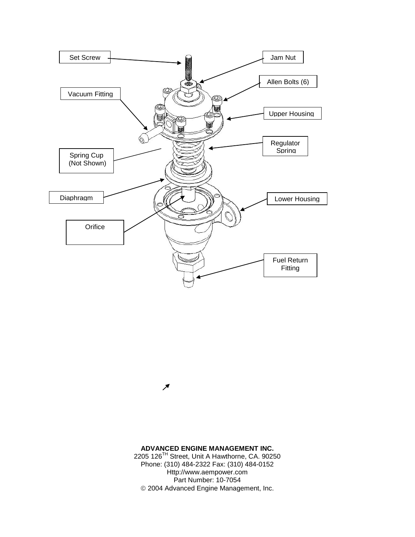

### **ADVANCED ENGINE MANAGEMENT INC.**

↗

2205 126TH Street, Unit A Hawthorne, CA. 90250 Phone: (310) 484-2322 Fax: (310) 484-0152 Http://www.aempower.com Part Number: 10-7054 2004 Advanced Engine Management, Inc.